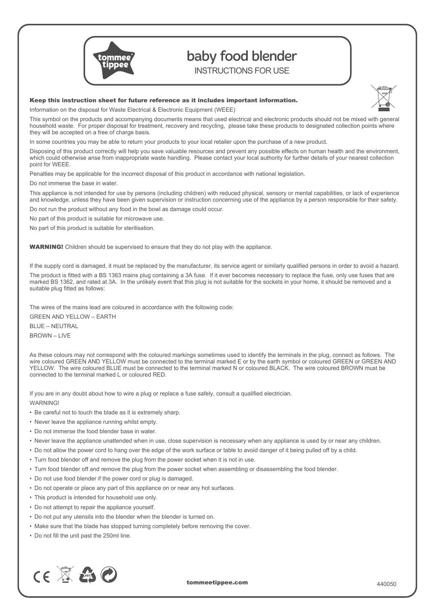

# baby food blender

INSTRUCTIONS FOR USE

# Keep this instruction sheet for future reference as it includes important information.



Information on the disposal for Waste Electrical & Electronic Equipment (WEEE) This symbol on the products and accompanying documents means that used electrical and electronic products should not be mixed with general household waste. For proper disposal for treatment, recovery and recycling, please take these products to designated collection points where they will be accepted on a free of charge basis.

In some countries you may be able to return your products to your local retailer upon the purchase of a new product.

Disposing of this product correctly will help you save valuable resources and prevent any possible effects on human health and the environment, which could otherwise arise from inappropriate waste handling. Please contact your local authority for further details of your nearest collection point for WEEE.

Penalties may be applicable for the incorrect disposal of this product in accordance with national legislation.

Do not immerse the base in water.

This appliance is not intended for use by persons (including children) with reduced physical, sensory or mental capabilities, or lack of experience and knowledge, unless they have been given supervision or instruction concerning use of the appliance by a person responsible for their safety.

Do not run the product without any food in the bowl as damage could occur.

No part of this product is suitable for microwave use.

No part of this product is suitable for sterilisation.

**WARNING!** Children should be supervised to ensure that they do not play with the appliance.

If the supply cord is damaged, it must be replaced by the manufacturer, its service agent or similarly qualified persons in order to avoid a hazard. The product is fitted with a BS 1363 mains plug containing a 3A fuse. If it ever becomes necessary to replace the fuse, only use fuses that are marked BS 1362, and rated at 3A. In the unlikely event that this plug is not suitable for the sockets in your home, it should be removed and a suitable plug fitted as follows:

The wires of the mains lead are coloured in accordance with the following code:

GREEN AND YELLOW – EARTH BLUE – NEUTRAL BROWN – LIVE

As these colours may not correspond with the coloured markings sometimes used to identify the terminals in the plug, connect as follows. The wire coloured GREEN AND YELLOW must be connected to the terminal marked E or by the earth symbol or coloured GREEN or GREEN AND YELLOW. The wire coloured BLUE must be connected to the terminal marked N or coloured BLACK. The wire coloured BROWN must be connected to the terminal marked L or coloured RED.

If you are in any doubt about how to wire a plug or replace a fuse safely, consult a qualified electrician. WARNING!

- Be careful not to touch the blade as it is extremely sharp.
- Never leave the appliance running whilst empty.
- Do not immerse the food blender base in water.
- Never leave the appliance unattended when in use, close supervision is necessary when any appliance is used by or near any children.
- Do not allow the power cord to hang over the edge of the work surface or table to avoid danger of it being pulled off by a child.
- Turn food blender off and remove the plug from the power socket when it is not in use.
- Turn food blender off and remove the plug from the power socket when assembling or disassembling the food blender.
- Do not use food blender if the power cord or plug is damaged.
- Do not operate or place any part of this appliance on or near any hot surfaces.
- This product is intended for household use only.
- Do not attempt to repair the appliance yourself.
- Do not put any utensils into the blender when the blender is turned on.
- Make sure that the blade has stopped turning completely before removing the cover.
- Do not fill the unit past the 250ml line.



tommeetippee.com